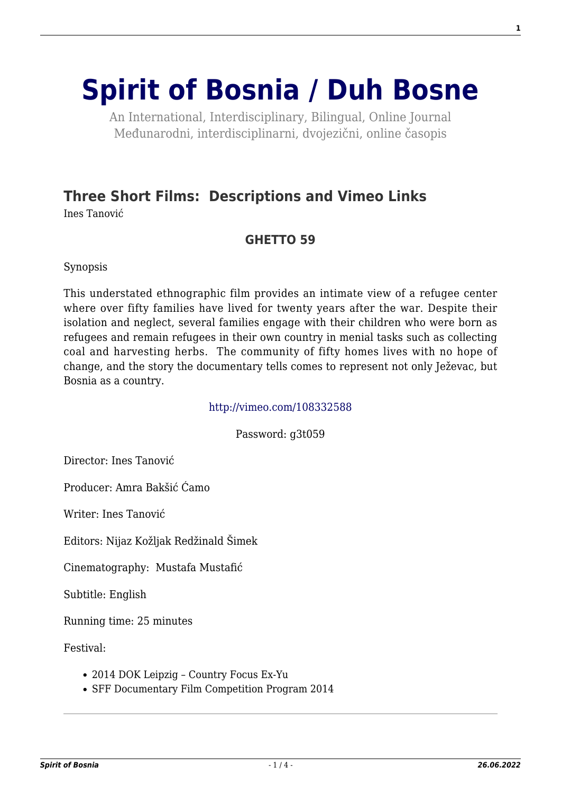# **[Spirit of Bosnia / Duh Bosne](http://www.spiritofbosnia.org/)**

An International, Interdisciplinary, Bilingual, Online Journal Međunarodni, interdisciplinarni, dvojezični, online časopis

# **[Three Short Films: Descriptions and Vimeo Links](http://www.spiritofbosnia.org/volume-13-no-3-2018july/three-short-films-by-ines-tanovic-descriptions-and-vimeo-links/)**

Ines Tanović

# **GHETTO 59**

Synopsis

This understated ethnographic film provides an intimate view of a refugee center where over fifty families have lived for twenty years after the war. Despite their isolation and neglect, several families engage with their children who were born as refugees and remain refugees in their own country in menial tasks such as collecting coal and harvesting herbs. The community of fifty homes lives with no hope of change, and the story the documentary tells comes to represent not only Ježevac, but Bosnia as a country.

#### <http://vimeo.com/108332588>

Password: g3t059

Director: Ines Tanović

Producer: Amra Bakšić Ćamo

Writer: Ines Tanović

Editors: Nijaz Kožljak Redžinald Šimek

Cinematography: Mustafa Mustafić

Subtitle: English

Running time: 25 minutes

Festival:

- 2014 DOK Leipzig Country Focus Ex-Yu
- SFF Documentary Film Competition Program 2014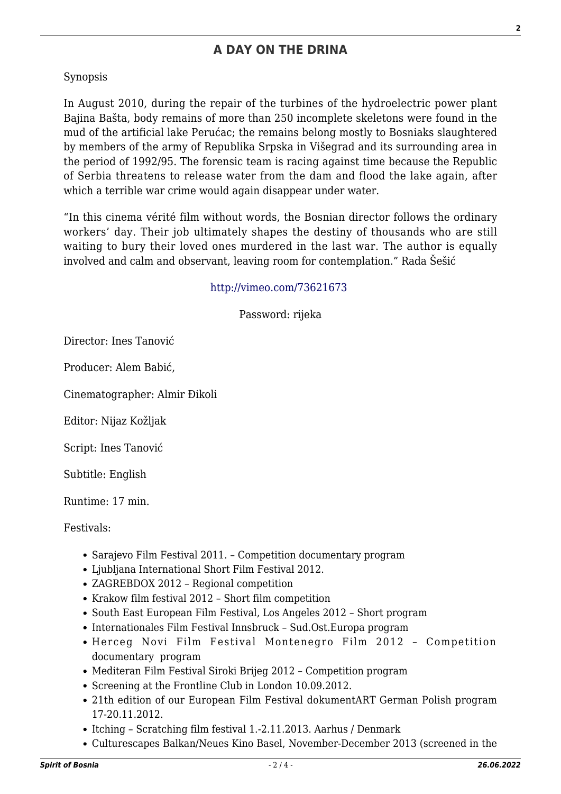# **A DAY ON THE DRINA**

#### Synopsis

In August 2010, during the repair of the turbines of the hydroelectric power plant Bajina Bašta, body remains of more than 250 incomplete skeletons were found in the mud of the artificial lake Perućac; the remains belong mostly to Bosniaks slaughtered by members of the army of Republika Srpska in Višegrad and its surrounding area in the period of 1992/95. The forensic team is racing against time because the Republic of Serbia threatens to release water from the dam and flood the lake again, after which a terrible war crime would again disappear under water.

"In this cinema vérité film without words, the Bosnian director follows the ordinary workers' day. Their job ultimately shapes the destiny of thousands who are still waiting to bury their loved ones murdered in the last war. The author is equally involved and calm and observant, leaving room for contemplation." Rada Šešić

#### <http://vimeo.com/73621673>

Password: rijeka

Director: Ines Tanović

Producer: Alem Babić,

Cinematographer: Almir Đikoli

Editor: Nijaz Kožljak

Script: Ines Tanović

Subtitle: English

Runtime: 17 min.

#### Festivals:

- Sarajevo Film Festival 2011. Competition documentary program
- Ljubljana International Short Film Festival 2012.
- ZAGREBDOX 2012 Regional competition
- Krakow film festival 2012 Short film competition
- South East European Film Festival, Los Angeles 2012 Short program
- Internationales Film Festival Innsbruck Sud.Ost.Europa program
- Herceg Novi Film Festival Montenegro Film 2012 Competition documentary program
- Mediteran Film Festival Siroki Brijeg 2012 Competition program
- Screening at the Frontline Club in London 10.09.2012.
- 21th edition of our European Film Festival dokumentART German Polish program 17-20.11.2012.
- Itching Scratching film festival 1.-2.11.2013. Aarhus / Denmark
- Culturescapes Balkan/Neues Kino Basel, November-December 2013 (screened in the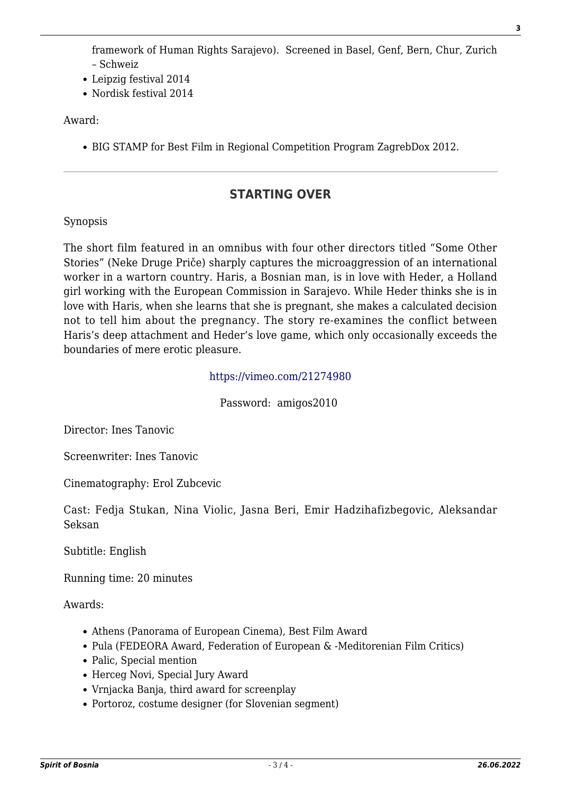framework of Human Rights Sarajevo). Screened in Basel, Genf, Bern, Chur, Zurich – Schweiz

- Leipzig festival 2014
- Nordisk festival 2014

Award:

BIG STAMP for Best Film in Regional Competition Program ZagrebDox 2012.

# **STARTING OVER**

#### Synopsis

The short film featured in an omnibus with four other directors titled "Some Other Stories" (Neke Druge Priče) sharply captures the microaggression of an international worker in a wartorn country. Haris, a Bosnian man, is in love with Heder, a Holland girl working with the European Commission in Sarajevo. While Heder thinks she is in love with Haris, when she learns that she is pregnant, she makes a calculated decision not to tell him about the pregnancy. The story re-examines the conflict between Haris's deep attachment and Heder's love game, which only occasionally exceeds the boundaries of mere erotic pleasure.

#### <https://vimeo.com/21274980>

Password: amigos2010

Director: Ines Tanovic

Screenwriter: Ines Tanovic

Cinematography: Erol Zubcevic

Cast: Fedja Stukan, Nina Violic, Jasna Beri, Emir Hadzihafizbegovic, Aleksandar Seksan

Subtitle: English

Running time: 20 minutes

Awards:

- Athens (Panorama of European Cinema), Best Film Award
- Pula (FEDEORA Award, Federation of European & -Meditorenian Film Critics)
- Palic, Special mention
- Herceg Novi, Special Jury Award
- Vrnjacka Banja, third award for screenplay
- Portoroz, costume designer (for Slovenian segment)